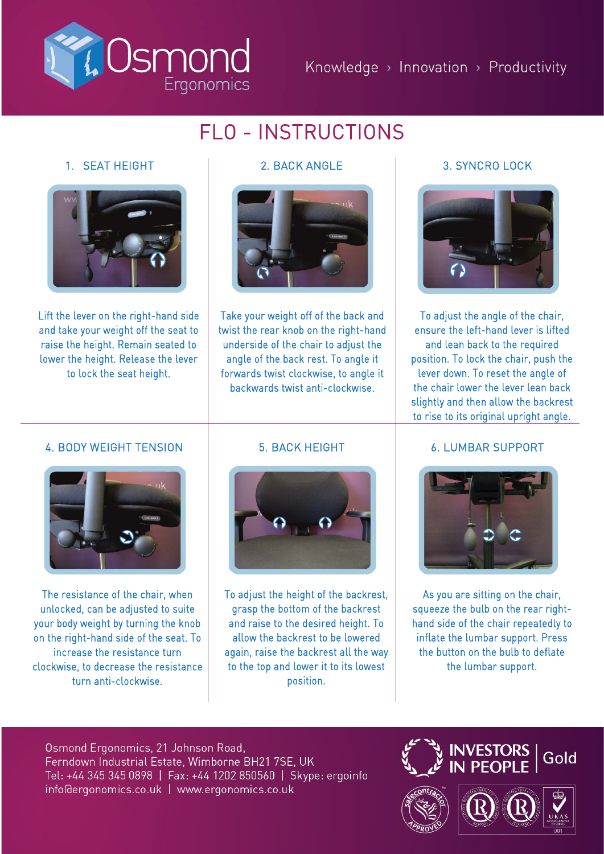

# FLO - INSTRUCTIONS

# 1. SEAT HEIGHT



Lift the lever on the right-hand side and take your weight off the seat to raise the height. Remain seated to lower the height. Release the lever to lock the seat height.



Take your weight off of the back and twist the rear knob on the right-hand underside of the chair to adjust the angle of the back rest. To angle it forwards twist clockwise, to angle it backwards twist anti-clockwise.

# 2. BACK ANGLE 3. SYNCRO LOCK



To adjust the angle of the chair, ensure the left-hand lever is lifted and lean back to the required position. To lock the chair, push the lever down. To reset the angle of the chair lower the lever lean back slightly and then allow the backrest to rise to its original upright angle.

## 4. BODY WEIGHT TENSION



The resistance of the chair, when unlocked, can be adjusted to suite your body weight by turning the knob on the right-hand side of the seat. To increase the resistance turn clockwise, to decrease the resistance turn anti-clockwise.

### 5. BACK HEIGHT



To adjust the height of the backrest, grasp the bottom of the backrest and raise to the desired height. To allow the backrest to be lowered again, raise the backrest all the way to the top and lower it to its lowest position.

### 6. LUMBAR SUPPORT



As you are sitting on the chair, squeeze the bulb on the rear righthand side of the chair repeatedly to inflate the lumbar support. Press the button on the bulb to deflate the lumbar support.

Osmond Ergonomics, 21 Johnson Road, Ferndown Industrial Estate, Wimborne BH21 7SE, UK Tel: +44 345 345 0898 | Fax: +44 1202 850560 | Skype: ergoinfo info@ergonomics.co.uk | www.ergonomics.co.uk